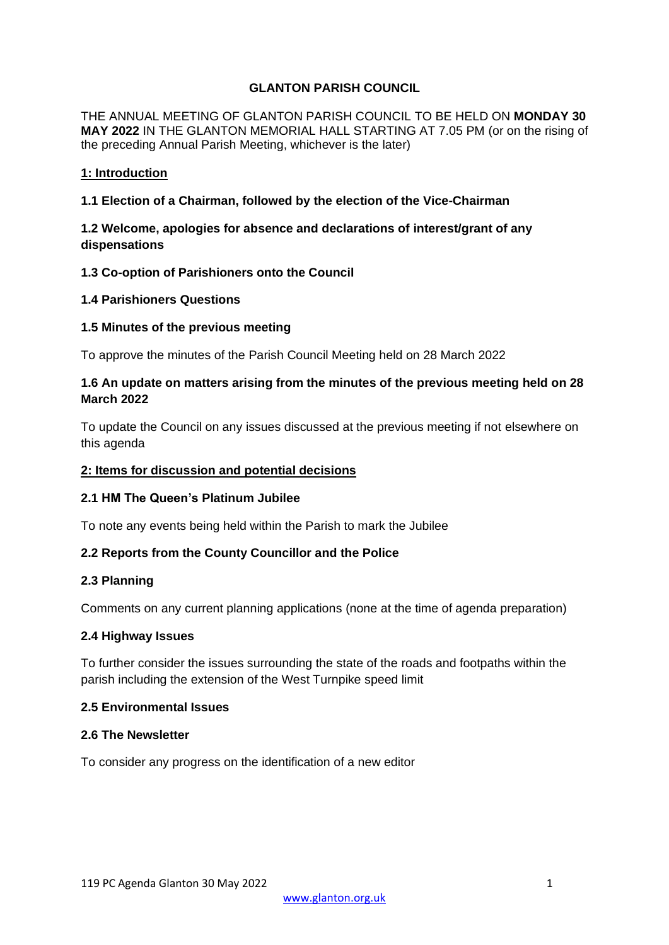# **GLANTON PARISH COUNCIL**

THE ANNUAL MEETING OF GLANTON PARISH COUNCIL TO BE HELD ON **MONDAY 30 MAY 2022** IN THE GLANTON MEMORIAL HALL STARTING AT 7.05 PM (or on the rising of the preceding Annual Parish Meeting, whichever is the later)

### **1: Introduction**

**1.1 Election of a Chairman, followed by the election of the Vice-Chairman**

# **1.2 Welcome, apologies for absence and declarations of interest/grant of any dispensations**

# **1.3 Co-option of Parishioners onto the Council**

### **1.4 Parishioners Questions**

### **1.5 Minutes of the previous meeting**

To approve the minutes of the Parish Council Meeting held on 28 March 2022

# **1.6 An update on matters arising from the minutes of the previous meeting held on 28 March 2022**

To update the Council on any issues discussed at the previous meeting if not elsewhere on this agenda

### **2: Items for discussion and potential decisions**

# **2.1 HM The Queen's Platinum Jubilee**

To note any events being held within the Parish to mark the Jubilee

# **2.2 Reports from the County Councillor and the Police**

#### **2.3 Planning**

Comments on any current planning applications (none at the time of agenda preparation)

#### **2.4 Highway Issues**

To further consider the issues surrounding the state of the roads and footpaths within the parish including the extension of the West Turnpike speed limit

# **2.5 Environmental Issues**

### **2.6 The Newsletter**

To consider any progress on the identification of a new editor